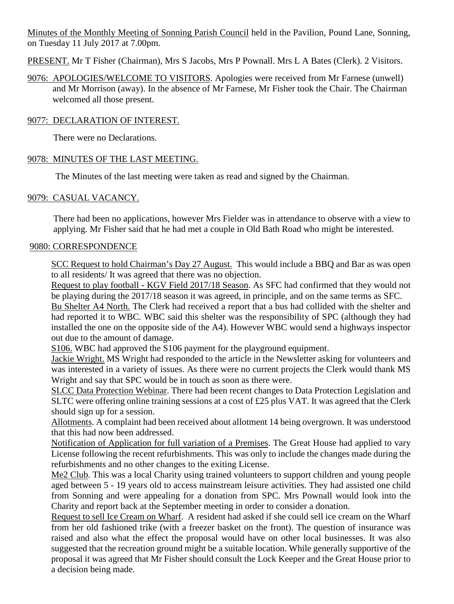Minutes of the Monthly Meeting of Sonning Parish Council held in the Pavilion, Pound Lane, Sonning, on Tuesday 11 July 2017 at 7.00pm.

PRESENT. Mr T Fisher (Chairman), Mrs S Jacobs, Mrs P Pownall. Mrs L A Bates (Clerk). 2 Visitors.

9076: APOLOGIES/WELCOME TO VISITORS. Apologies were received from Mr Farnese (unwell) and Mr Morrison (away). In the absence of Mr Farnese, Mr Fisher took the Chair. The Chairman welcomed all those present.

## 9077: DECLARATION OF INTEREST.

There were no Declarations.

### 9078: MINUTES OF THE LAST MEETING.

The Minutes of the last meeting were taken as read and signed by the Chairman.

### 9079: CASUAL VACANCY.

There had been no applications, however Mrs Fielder was in attendance to observe with a view to applying. Mr Fisher said that he had met a couple in Old Bath Road who might be interested.

### 9080: CORRESPONDENCE

SCC Request to hold Chairman's Day 27 August. This would include a BBQ and Bar as was open to all residents/ It was agreed that there was no objection.

Request to play football - KGV Field 2017/18 Season. As SFC had confirmed that they would not be playing during the 2017/18 season it was agreed, in principle, and on the same terms as SFC.

Bu Shelter A4 North. The Clerk had received a report that a bus had collided with the shelter and had reported it to WBC. WBC said this shelter was the responsibility of SPC (although they had installed the one on the opposite side of the A4). However WBC would send a highways inspector out due to the amount of damage.

S106. WBC had approved the S106 payment for the playground equipment.

Jackie Wright. MS Wright had responded to the article in the Newsletter asking for volunteers and was interested in a variety of issues. As there were no current projects the Clerk would thank MS Wright and say that SPC would be in touch as soon as there were.

SLCC Data Protection Webinar. There had been recent changes to Data Protection Legislation and SLTC were offering online training sessions at a cost of £25 plus VAT. It was agreed that the Clerk should sign up for a session.

Allotments. A complaint had been received about allotment 14 being overgrown. It was understood that this had now been addressed.

Notification of Application for full variation of a Premises. The Great House had applied to vary License following the recent refurbishments. This was only to include the changes made during the refurbishments and no other changes to the exiting License.

Me2 Club. This was a local Charity using trained volunteers to support children and young people aged between 5 - 19 years old to access mainstream leisure activities. They had assisted one child from Sonning and were appealing for a donation from SPC. Mrs Pownall would look into the Charity and report back at the September meeting in order to consider a donation.

Request to sell Ice Cream on Wharf. A resident had asked if she could sell ice cream on the Wharf from her old fashioned trike (with a freezer basket on the front). The question of insurance was raised and also what the effect the proposal would have on other local businesses. It was also suggested that the recreation ground might be a suitable location. While generally supportive of the proposal it was agreed that Mr Fisher should consult the Lock Keeper and the Great House prior to a decision being made.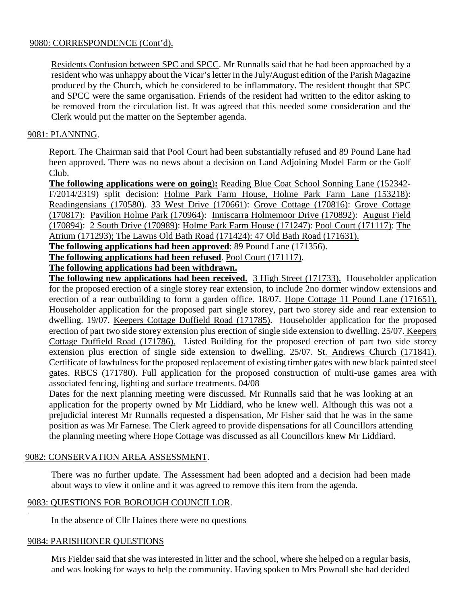### 9080: CORRESPONDENCE (Cont'd).

Residents Confusion between SPC and SPCC. Mr Runnalls said that he had been approached by a resident who was unhappy about the Vicar's letter in the July/August edition of the Parish Magazine produced by the Church, which he considered to be inflammatory. The resident thought that SPC and SPCC were the same organisation. Friends of the resident had written to the editor asking to be removed from the circulation list. It was agreed that this needed some consideration and the Clerk would put the matter on the September agenda.

### 9081: PLANNING.

Report. The Chairman said that Pool Court had been substantially refused and 89 Pound Lane had been approved. There was no news about a decision on Land Adjoining Model Farm or the Golf Club.

**The following applications were on going**)**:** Reading Blue Coat School Sonning Lane (152342- F/2014/2319) split decision: Holme Park Farm House, Holme Park Farm Lane (153218): Readingensians (170580). 33 West Drive (170661): Grove Cottage (170816): Grove Cottage (170817): Pavilion Holme Park (170964): Inniscarra Holmemoor Drive (170892): August Field (170894): 2 South Drive (170989): Holme Park Farm House (171247): Pool Court (171117): The Atrium (171293); The Lawns Old Bath Road (171424): 47 Old Bath Road (171631).

**The following applications had been approved**: 89 Pound Lane (171356).

**The following applications had been refused**. Pool Court (171117).

# **The following applications had been withdrawn.**

**The following new applications had been received.** 3 High Street (171733). Householder application for the proposed erection of a single storey rear extension, to include 2no dormer window extensions and erection of a rear outbuilding to form a garden office. 18/07. Hope Cottage 11 Pound Lane (171651). Householder application for the proposed part single storey, part two storey side and rear extension to dwelling. 19/07. Keepers Cottage Duffield Road (171785). Householder application for the proposed erection of part two side storey extension plus erection of single side extension to dwelling. 25/07. Keepers Cottage Duffield Road (171786). Listed Building for the proposed erection of part two side storey extension plus erection of single side extension to dwelling. 25/07. St. Andrews Church (171841). Certificate of lawfulness for the proposed replacement of existing timber gates with new black painted steel gates. RBCS (171780). Full application for the proposed construction of multi-use games area with associated fencing, lighting and surface treatments. 04/08

Dates for the next planning meeting were discussed. Mr Runnalls said that he was looking at an application for the property owned by Mr Liddiard, who he knew well. Although this was not a prejudicial interest Mr Runnalls requested a dispensation, Mr Fisher said that he was in the same position as was Mr Farnese. The Clerk agreed to provide dispensations for all Councillors attending the planning meeting where Hope Cottage was discussed as all Councillors knew Mr Liddiard.

### 9082: CONSERVATION AREA ASSESSMENT.

There was no further update. The Assessment had been adopted and a decision had been made about ways to view it online and it was agreed to remove this item from the agenda.

### 9083: QUESTIONS FOR BOROUGH COUNCILLOR.

In the absence of Cllr Haines there were no questions

### 9084: PARISHIONER QUESTIONS

.

Mrs Fielder said that she was interested in litter and the school, where she helped on a regular basis, and was looking for ways to help the community. Having spoken to Mrs Pownall she had decided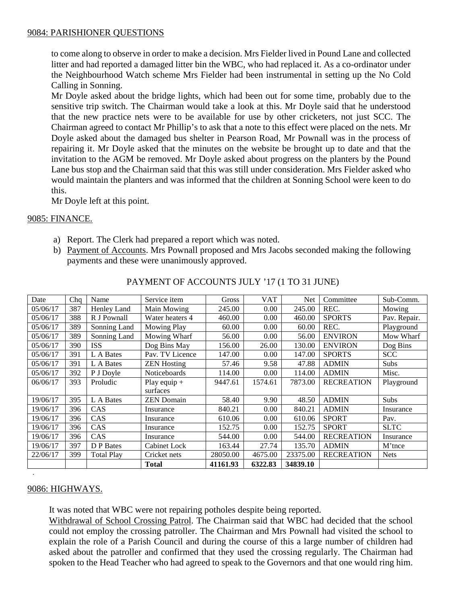### 9084: PARISHIONER QUESTIONS

to come along to observe in order to make a decision. Mrs Fielder lived in Pound Lane and collected litter and had reported a damaged litter bin the WBC, who had replaced it. As a co-ordinator under the Neighbourhood Watch scheme Mrs Fielder had been instrumental in setting up the No Cold Calling in Sonning.

Mr Doyle asked about the bridge lights, which had been out for some time, probably due to the sensitive trip switch. The Chairman would take a look at this. Mr Doyle said that he understood that the new practice nets were to be available for use by other cricketers, not just SCC. The Chairman agreed to contact Mr Phillip's to ask that a note to this effect were placed on the nets. Mr Doyle asked about the damaged bus shelter in Pearson Road, Mr Pownall was in the process of repairing it. Mr Doyle asked that the minutes on the website be brought up to date and that the invitation to the AGM be removed. Mr Doyle asked about progress on the planters by the Pound Lane bus stop and the Chairman said that this was still under consideration. Mrs Fielder asked who would maintain the planters and was informed that the children at Sonning School were keen to do this.

Mr Doyle left at this point.

### 9085: FINANCE.

- a) Report. The Clerk had prepared a report which was noted.
- b) Payment of Accounts. Mrs Pownall proposed and Mrs Jacobs seconded making the following payments and these were unanimously approved.

| Date     | Chq | Name              | Service item       | Gross    | <b>VAT</b> | <b>Net</b> | Committee         | Sub-Comm.    |
|----------|-----|-------------------|--------------------|----------|------------|------------|-------------------|--------------|
| 05/06/17 | 387 | Henley Land       | Main Mowing        | 245.00   | 0.00       | 245.00     | REC.              | Mowing       |
| 05/06/17 | 388 | R J Pownall       | Water heaters 4    | 460.00   | 0.00       | 460.00     | <b>SPORTS</b>     | Pav. Repair. |
| 05/06/17 | 389 | Sonning Land      | <b>Mowing Play</b> | 60.00    | 0.00       | 60.00      | REC.              | Playground   |
| 05/06/17 | 389 | Sonning Land      | Mowing Wharf       | 56.00    | 0.00       | 56.00      | <b>ENVIRON</b>    | Mow Wharf    |
| 05/06/17 | 390 | <b>ISS</b>        | Dog Bins May       | 156.00   | 26.00      | 130.00     | <b>ENVIRON</b>    | Dog Bins     |
| 05/06/17 | 391 | L A Bates         | Pav. TV Licence    | 147.00   | 0.00       | 147.00     | <b>SPORTS</b>     | <b>SCC</b>   |
| 05/06/17 | 391 | L A Bates         | <b>ZEN Hosting</b> | 57.46    | 9.58       | 47.88      | <b>ADMIN</b>      | Subs         |
| 05/06/17 | 392 | P J Doyle         | Noticeboards       | 114.00   | 0.00       | 114.00     | <b>ADMIN</b>      | Misc.        |
| 06/06/17 | 393 | Proludic          | Play equip $+$     | 9447.61  | 1574.61    | 7873.00    | <b>RECREATION</b> | Playground   |
|          |     |                   | surfaces           |          |            |            |                   |              |
| 19/06/17 | 395 | L A Bates         | <b>ZEN</b> Domain  | 58.40    | 9.90       | 48.50      | <b>ADMIN</b>      | <b>Subs</b>  |
| 19/06/17 | 396 | <b>CAS</b>        | Insurance          | 840.21   | 0.00       | 840.21     | <b>ADMIN</b>      | Insurance    |
| 19/06/17 | 396 | <b>CAS</b>        | Insurance          | 610.06   | 0.00       | 610.06     | <b>SPORT</b>      | Pav.         |
| 19/06/17 | 396 | CAS               | Insurance          | 152.75   | 0.00       | 152.75     | <b>SPORT</b>      | <b>SLTC</b>  |
| 19/06/17 | 396 | CAS               | Insurance          | 544.00   | 0.00       | 544.00     | <b>RECREATION</b> | Insurance    |
| 19/06/17 | 397 | D P Bates         | Cabinet Lock       | 163.44   | 27.74      | 135.70     | <b>ADMIN</b>      | M'tnce       |
| 22/06/17 | 399 | <b>Total Play</b> | Cricket nets       | 28050.00 | 4675.00    | 23375.00   | <b>RECREATION</b> | <b>Nets</b>  |
|          |     |                   | <b>Total</b>       | 41161.93 | 6322.83    | 34839.10   |                   |              |

PAYMENT OF ACCOUNTS JULY '17 (1 TO 31 JUNE)

## 9086: HIGHWAYS.

.

It was noted that WBC were not repairing potholes despite being reported.

Withdrawal of School Crossing Patrol. The Chairman said that WBC had decided that the school could not employ the crossing patroller. The Chairman and Mrs Pownall had visited the school to explain the role of a Parish Council and during the course of this a large number of children had asked about the patroller and confirmed that they used the crossing regularly. The Chairman had spoken to the Head Teacher who had agreed to speak to the Governors and that one would ring him.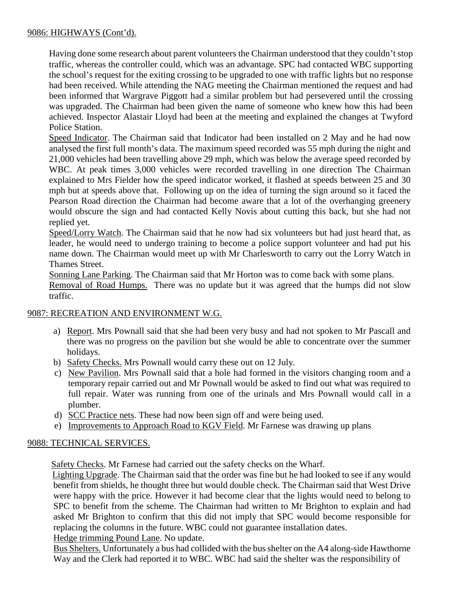## 9086: HIGHWAYS (Cont'd).

Having done some research about parent volunteers the Chairman understood that they couldn't stop traffic, whereas the controller could, which was an advantage. SPC had contacted WBC supporting the school's request for the exiting crossing to be upgraded to one with traffic lights but no response had been received. While attending the NAG meeting the Chairman mentioned the request and had been informed that Wargrave Piggott had a similar problem but had persevered until the crossing was upgraded. The Chairman had been given the name of someone who knew how this had been achieved. Inspector Alastair Lloyd had been at the meeting and explained the changes at Twyford Police Station.

Speed Indicator. The Chairman said that Indicator had been installed on 2 May and he had now analysed the first full month's data. The maximum speed recorded was 55 mph during the night and 21,000 vehicles had been travelling above 29 mph, which was below the average speed recorded by WBC. At peak times 3,000 vehicles were recorded travelling in one direction The Chairman explained to Mrs Fielder how the speed indicator worked, it flashed at speeds between 25 and 30 mph but at speeds above that. Following up on the idea of turning the sign around so it faced the Pearson Road direction the Chairman had become aware that a lot of the overhanging greenery would obscure the sign and had contacted Kelly Novis about cutting this back, but she had not replied yet.

Speed/Lorry Watch. The Chairman said that he now had six volunteers but had just heard that, as leader, he would need to undergo training to become a police support volunteer and had put his name down. The Chairman would meet up with Mr Charlesworth to carry out the Lorry Watch in Thames Street.

Sonning Lane Parking. The Chairman said that Mr Horton was to come back with some plans.

Removal of Road Humps. There was no update but it was agreed that the humps did not slow traffic.

### 9087: RECREATION AND ENVIRONMENT W.G.

- a) Report. Mrs Pownall said that she had been very busy and had not spoken to Mr Pascall and there was no progress on the pavilion but she would be able to concentrate over the summer holidays.
- b) Safety Checks. Mrs Pownall would carry these out on 12 July.
- c) New Pavilion. Mrs Pownall said that a hole had formed in the visitors changing room and a temporary repair carried out and Mr Pownall would be asked to find out what was required to full repair. Water was running from one of the urinals and Mrs Pownall would call in a plumber.
- d) SCC Practice nets. These had now been sign off and were being used.
- e) Improvements to Approach Road to KGV Field. Mr Farnese was drawing up plans

## 9088: TECHNICAL SERVICES.

Safety Checks. Mr Farnese had carried out the safety checks on the Wharf.

 Lighting Upgrade. The Chairman said that the order was fine but he had looked to see if any would benefit from shields, he thought three but would double check. The Chairman said that West Drive were happy with the price. However it had become clear that the lights would need to belong to SPC to benefit from the scheme. The Chairman had written to Mr Brighton to explain and had asked Mr Brighton to confirm that this did not imply that SPC would become responsible for replacing the columns in the future. WBC could not guarantee installation dates. Hedge trimming Pound Lane. No update.

Bus Shelters. Unfortunately a bus had collided with the bus shelter on the A4 along-side Hawthorne Way and the Clerk had reported it to WBC. WBC had said the shelter was the responsibility of